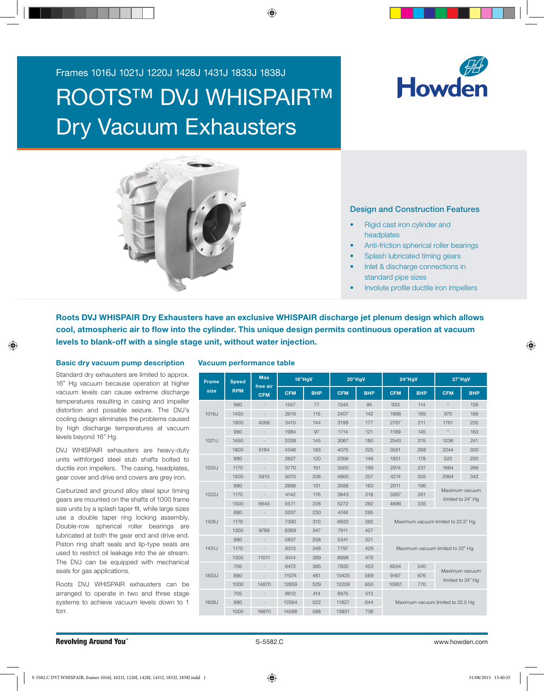Frames 1016J 1021J 1220J 1428J 1431J 1833J 1838J

# ROOTS™ DVJ WHISPAIR™ Dry Vacuum Exhausters





## Design and Construction Features

- Rigid cast iron cylinder and headplates
- Anti-friction spherical roller bearings
- Splash lubricated timing gears
- Inlet & discharge connections in standard pipe sizes
- Involute profile ductile iron impellers

Roots DVJ WHISPAIR Dry Exhausters have an exclusive WHISPAIR discharge jet plenum design which allows cool, atmospheric air to flow into the cylinder. This unique design permits continuous operation at vacuum levels to blank-off with a single stage unit, without water injection.

#### Basic dry vacuum pump description

Standard dry exhausters are limited to approx. 16" Hg vacuum because operation at higher vacuum levels can cause extreme discharge temperatures resulting in casing and impeller distortion and possible seizure. The DVJ's cooling design eliminates the problems caused by high discharge temperatures at vacuum levels beyond 16" Hg.

DVJ WHISPAIR exhausters are heavy-duty units withforged steel stub shafts bolted to ductile iron impellers. The casing, headplates, gear cover and drive end covers are grey iron.

gears are mounted on the shafts of 1000 frame Carburized and ground alloy steel spur timing size units by a splash taper fit, while large sizes use a double taper ring locking assembly. Double-row spherical roller bearings are lubricated at both the gear end and drive end. Piston ring shaft seals and lip-type seals are used to restrict oil leakage into the air stream. The DVJ can be equipped with mechanical seals for gas applications.

Roots DVJ WHISPAIR exhausters can be arranged to operate in two and three stage systems to achieve vacuum levels down to 1 torr.

### Vacuum performance table

| <b>Frame</b>                     | <b>Speed</b> | <b>Max</b>               |            | 16"HaV     |            | 20"HgV     | $24"$ HgV                                          |                                   | 27"HgV     |            |  |  |  |  |
|----------------------------------|--------------|--------------------------|------------|------------|------------|------------|----------------------------------------------------|-----------------------------------|------------|------------|--|--|--|--|
| size                             | <b>RPM</b>   | free air<br><b>CFM</b>   | <b>CFM</b> | <b>BHP</b> | <b>CFM</b> | <b>BHP</b> | <b>CFM</b>                                         | <b>BHP</b>                        | <b>CFM</b> | <b>BHP</b> |  |  |  |  |
|                                  | 980          |                          | 1557       | 77         | 1345       | 95         | 933                                                | 114                               | $_{\star}$ | 128        |  |  |  |  |
| 1016J                            | 1450         |                          | 2619       | 115        | 2407       | 142        | 1996                                               | 169                               | 970        | 189        |  |  |  |  |
|                                  | 1800         | 4068                     | 3410       | 144        | 3198       | 177        | 2787                                               | 211                               | 1761       | 235        |  |  |  |  |
|                                  | 980          |                          | 1984       | 97         | 1714       | 121        | 1189                                               | 145                               | ×          | 163        |  |  |  |  |
| 1021J<br>1220J<br>1222J<br>1428J | 1450         |                          | 3338       | 145        | 3067       | 180        | 2543                                               | 215                               | 1236       | 241        |  |  |  |  |
|                                  | 1800         | 5184                     | 4346       | 183        | 4075       | 225        | 3551                                               | 268                               | 2244       | 300        |  |  |  |  |
|                                  | 880          |                          | 2627       | 120        | 2356       | 149        | 1831                                               | 178                               | 523        | 200        |  |  |  |  |
|                                  | 1170         | $\overline{\phantom{a}}$ | 3770       | 161        | 3500       | 199        | 2974                                               | 237                               | 1664       | 266        |  |  |  |  |
|                                  | 1500         | 5910                     | 5070       | 208        | 4800       | 257        | 4274                                               | 305                               | 2964       | 342        |  |  |  |  |
|                                  | 880          |                          | 2886       | 131        | 2588       | 163        | 2011<br>196                                        |                                   |            |            |  |  |  |  |
|                                  | 1170         | $\bar{a}$                | 4142       | 176        | 3843       | 218        | Maximum vacuum<br>3267<br>261<br>limited to 24" Hg |                                   |            |            |  |  |  |  |
|                                  | 1500         | 6645                     | 5571       | 228        | 5272       | 282        | 4696<br>335                                        |                                   |            |            |  |  |  |  |
|                                  | 880          |                          | 5207       | 230        | 4748       | 285        |                                                    |                                   |            |            |  |  |  |  |
|                                  | 1170         | $\overline{\phantom{a}}$ | 7390       | 310        | 6932       | 382        | Maximum vacuum limited to 22.5" Hg                 |                                   |            |            |  |  |  |  |
|                                  | 1300         | 9789                     | 8369       | 347        | 7911       | 427        |                                                    |                                   |            |            |  |  |  |  |
|                                  | 880          |                          | 5857       | 258        | 5341       | 321        |                                                    |                                   |            |            |  |  |  |  |
| 1431J                            | 1170         |                          | 8313       | 348        | 7797       | 429        | Maximum vacuum limited to 22" Hq                   |                                   |            |            |  |  |  |  |
|                                  | 1300         | 11011                    | 9414       | 389        | 8898       | 479        |                                                    |                                   |            |            |  |  |  |  |
|                                  | 705          |                          | 8472       | 365        | 7832       | 453        | 6554                                               | Maximum vacuum                    |            |            |  |  |  |  |
| 1833J                            | 880          | $\overline{\phantom{a}}$ | 11074      | 461        | 10425      | 569        | 9167<br>676<br>limited to 24" Hg                   |                                   |            |            |  |  |  |  |
|                                  | 1000         | 14870                    | 12859      | 529        | 12209      | 650        | 10951<br>770                                       |                                   |            |            |  |  |  |  |
|                                  | 705          |                          | 9612       | 414        | 8875       | 513        |                                                    |                                   |            |            |  |  |  |  |
| 1838J                            | 880          | $\bar{a}$                | 12564      | 522        | 11827      | 644        |                                                    | Maximum vacuum limited to 22.5 Hg |            |            |  |  |  |  |
|                                  | 1000         | 16870                    | 14588      | 588        | 13851      | 736        |                                                    |                                   |            |            |  |  |  |  |